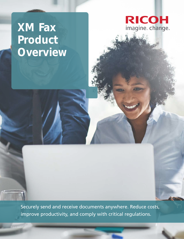# **XM Fax Product Overview**

August 2020 v1



Securely send and receive documents anywhere. Reduce costs, improve productivity, and comply with critical regulations.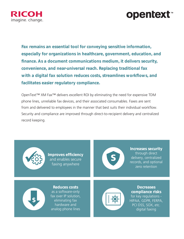

## **opentext™**

**Fax remains an essential tool for conveying sensitive information, especially for organizations in healthcare, government, education, and finance. As a document communications medium, it delivers security, convenience, and near-universal reach. Replacing traditional fax with a digital fax solution reduces costs, streamlines workflows, and facilitates easier regulatory compliance.**

OpenText™ XM Fax™ delivers excellent ROI by eliminating the need for expensive TDM phone lines, unreliable fax devices, and their associated consumables. Faxes are sent from and delivered to employees in the manner that best suits their individual workflow. Security and compliance are improved through direct-to-recipient delivery and centralized record keeping.



**Improves efficiency**  and enables secure faxing anywhere



**Increases security**  through direct delivery, centralized records, and optional zero retention



**Reduces costs** as a software-only fax over IP solution, eliminating fax hardware and analog phone lines



**Decreases compliance risks**  for key regulations - HIPAA, GDPR, FERPA, PCI DSS, SOX, etc. digital faxing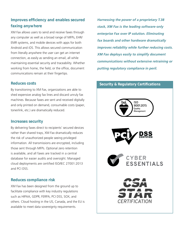### **Improves efficiency and enables secured faxing anywhere**

XM Fax allows users to send and receive faxes through any computer as well as a broad range of MFPs, EHR/ EMR systems, and mobile devices with apps for both Android and iOS. This allows secured communication from literally anywhere the user can get an internet connection, as easily as sending an email, all while maintaining essential security and traceability. Whether working from home, the field, or the office, document communications remain at their fingertips.

#### **Reduces costs**

By transitioning to XM Fax, organizations are able to shed expensive analog fax lines and discard unruly fax machines. Because faxes are sent and received digitally and only printed on demand, consumable costs (paper, toner/ink, etc.) are dramatically reduced.

#### **Increases security**

By delivering faxes direct to recipients' secured devices rather than shared trays, XM Fax dramatically reduces the risk of unauthorized people seeing privileged information. All transmissions are encrypted, including those sent through MFPs. Optional zero retention is available, and all faxes are tracked in a central database for easier audits and oversight. Managed cloud deployments are certified ISO/IEC 27001:2013 and PCI DSS.

#### **Reduces compliance risk**

XM Fax has been designed from the ground up to facilitate compliance with key industry regulations such as HIPAA, GDPR, FERPA, PCI DSS, SOX, and others. Cloud hosting in the US, Canada, and the EU is available to meet data sovereignty requirements.

*Harnessing the power of a proprietary T.38 stack, XM Fax is the leading software-only enterprise Fax over IP solution. Eliminating fax boards and other hardware dramatically improves reliability while further reducing costs. XM Fax deploys easily to simplify document communications without extensive retraining or putting regulatory compliance in peril.*

#### **Security & Regulatory Certifications**